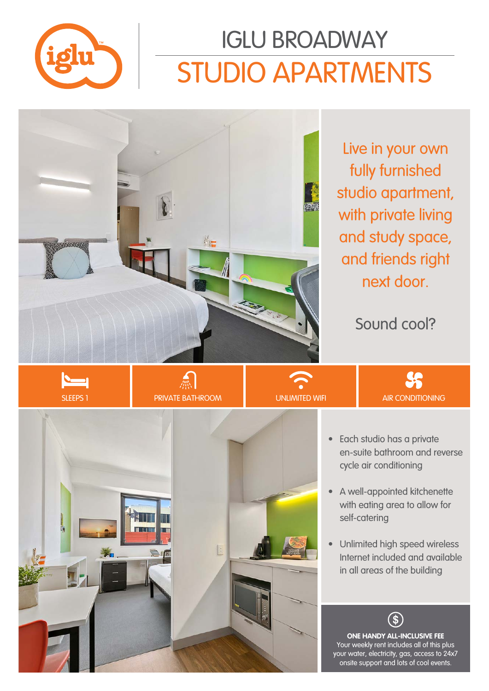

# STUDIO APARTMENTS IGLU BROADWAY



Live in your own fully furnished studio apartment, with private living and study space, and friends right next door.

#### Sound cool?







 $<sup>4</sup>$ </sup>



- Each studio has a private en-suite bathroom and reverse cycle air conditioning
- A well-appointed kitchenette with eating area to allow for self-catering
- Unlimited high speed wireless Internet included and available in all areas of the building

**ONE HANDY ALL-INCLUSIVE FEE** Your weekly rent includes all of this plus your water, electricity, gas, access to 24x7 onsite support and lots of cool events.

 $\mathbf{\hat{S}}$